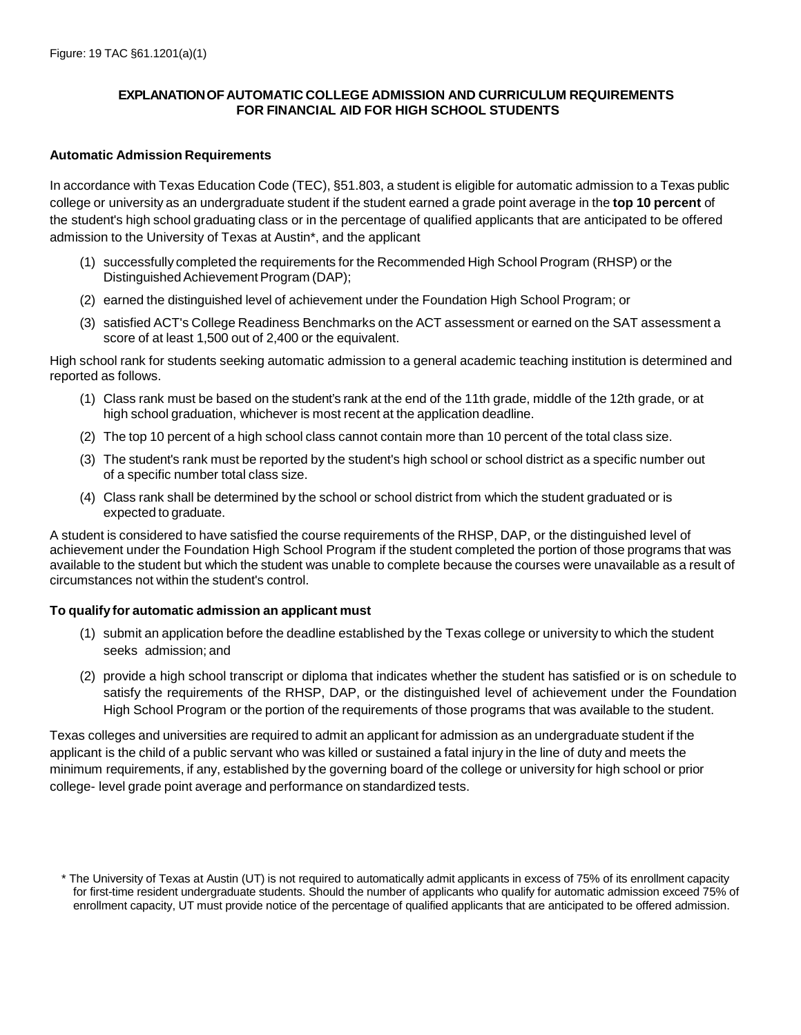## **EXPLANATIONOF AUTOMATIC COLLEGE ADMISSION AND CURRICULUM REQUIREMENTS FOR FINANCIAL AID FOR HIGH SCHOOL STUDENTS**

## **Automatic Admission Requirements**

In accordance with Texas Education Code (TEC), §51.803, a student is eligible for automatic admission to a Texas public college or university as an undergraduate student if the student earned a grade point average in the **top 10 percent** of the student's high school graduating class or in the percentage of qualified applicants that are anticipated to be offered admission to the University of Texas at Austin\*, and the applicant

- (1) successfully completed the requirements for the Recommended High School Program (RHSP) or the Distinguished Achievement Program (DAP);
- (2) earned the distinguished level of achievement under the Foundation High School Program; or
- (3) satisfied ACT's College Readiness Benchmarks on the ACT assessment or earned on the SAT assessment a score of at least 1,500 out of 2,400 or the equivalent.

High school rank for students seeking automatic admission to a general academic teaching institution is determined and reported as follows.

- (1) Class rank must be based on the student's rank at the end of the 11th grade, middle of the 12th grade, or at high school graduation, whichever is most recent at the application deadline.
- (2) The top 10 percent of a high school class cannot contain more than 10 percent of the total class size.
- (3) The student's rank must be reported by the student's high school or school district as a specific number out of a specific number total class size.
- (4) Class rank shall be determined by the school or school district from which the student graduated or is expected to graduate.

A student is considered to have satisfied the course requirements of the RHSP, DAP, or the distinguished level of achievement under the Foundation High School Program if the student completed the portion of those programs that was available to the student but which the student was unable to complete because the courses were unavailable as a result of circumstances not within the student's control.

# **To qualify for automatic admission an applicant must**

- (1) submit an application before the deadline established by the Texas college or university to which the student seeks admission; and
- (2) provide a high school transcript or diploma that indicates whether the student has satisfied or is on schedule to satisfy the requirements of the RHSP, DAP, or the distinguished level of achievement under the Foundation High School Program or the portion of the requirements of those programs that was available to the student.

Texas colleges and universities are required to admit an applicant for admission as an undergraduate student if the applicant is the child of a public servant who was killed or sustained a fatal injury in the line of duty and meets the minimum requirements, if any, established by the governing board of the college or university for high school or prior college- level grade point average and performance on standardized tests.

<sup>\*</sup> The University of Texas at Austin (UT) is not required to automatically admit applicants in excess of 75% of its enrollment capacity for first-time resident undergraduate students. Should the number of applicants who qualify for automatic admission exceed 75% of enrollment capacity, UT must provide notice of the percentage of qualified applicants that are anticipated to be offered admission.